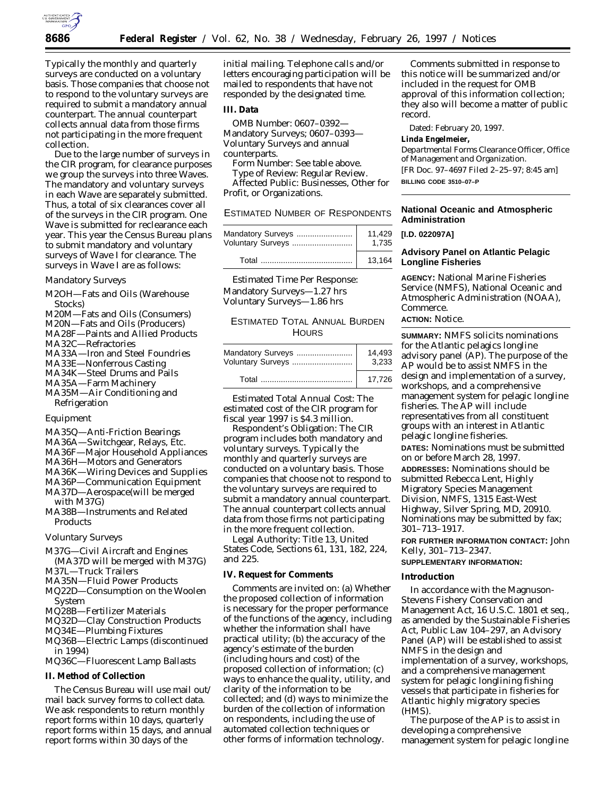

Typically the monthly and quarterly surveys are conducted on a voluntary basis. Those companies that choose not to respond to the voluntary surveys are required to submit a mandatory annual counterpart. The annual counterpart collects annual data from those firms not participating in the more frequent collection.

Due to the large number of surveys in the CIR program, for clearance purposes we group the surveys into three Waves. The mandatory and voluntary surveys in each Wave are separately submitted. Thus, a total of six clearances cover all of the surveys in the CIR program. One Wave is submitted for reclearance each year. This year the Census Bureau plans to submit mandatory and voluntary surveys of Wave I for clearance. The surveys in Wave I are as follows:

### *Mandatory Surveys*

- M2OH—Fats and Oils (Warehouse Stocks)
- M20M—Fats and Oils (Consumers)
- M20N—Fats and Oils (Producers)
- MA28F—Paints and Allied Products
- MA32C—Refractories
- MA33A—Iron and Steel Foundries
- MA33E—Nonferrous Casting
- MA34K—Steel Drums and Pails
- MA35A—Farm Machinery
- MA35M—Air Conditioning and Refrigeration

### Equipment

- MA35Q—Anti-Friction Bearings
- MA36A—Switchgear, Relays, Etc.
- MA36F—Major Household Appliances
- MA36H—Motors and Generators
- MA36K—Wiring Devices and Supplies
- MA36P—Communication Equipment
- MA37D—Aerospace(will be merged with M37G)
- MA38B—Instruments and Related Products

### *Voluntary Surveys*

- M37G—Civil Aircraft and Engines (MA37D will be merged with M37G)
- M37L—Truck Trailers
- MA35N—Fluid Power Products
- MQ22D—Consumption on the Woolen System
- MQ28B—Fertilizer Materials
- MQ32D—Clay Construction Products
- MQ34E—Plumbing Fixtures
- MQ36B—Electric Lamps (discontinued in 1994)
- MQ36C—Fluorescent Lamp Ballasts

### **II. Method of Collection**

The Census Bureau will use mail out/ mail back survey forms to collect data. We ask respondents to return monthly report forms within 10 days, quarterly report forms within 15 days, and annual report forms within 30 days of the

initial mailing. Telephone calls and/or letters encouraging participation will be mailed to respondents that have not responded by the designated time.

## **III. Data**

*OMB Number:* 0607–0392— Mandatory Surveys; 0607–0393— Voluntary Surveys and annual counterparts.

*Form Number:* See table above.

*Type of Review:* Regular Review. *Affected Public:* Businesses, Other for Profit, or Organizations.

ESTIMATED NUMBER OF RESPONDENTS

| Mandatory Surveys | 11.429 |
|-------------------|--------|
| Voluntary Surveys | 1.735  |
| Total             | 13.164 |

Estimated Time Per Response: Mandatory Surveys—1.27 hrs Voluntary Surveys—1.86 hrs

# ESTIMATED TOTAL ANNUAL BURDEN **HOURS**

| Mandatory Surveys | 14.493 |
|-------------------|--------|
| Voluntary Surveys | 3.233  |
|                   | 17.726 |

Estimated Total Annual Cost: The estimated cost of the CIR program for fiscal year 1997 is \$4.3 million.

Respondent's Obligation: The CIR program includes both mandatory and voluntary surveys. Typically the monthly and quarterly surveys are conducted on a voluntary basis. Those companies that choose not to respond to the voluntary surveys are required to submit a mandatory annual counterpart. The annual counterpart collects annual data from those firms not participating in the more frequent collection.

Legal Authority: Title 13, United States Code, Sections 61, 131, 182, 224, and 225.

## **IV. Request for Comments**

Comments are invited on: (a) Whether the proposed collection of information is necessary for the proper performance of the functions of the agency, including whether the information shall have practical utility; (b) the accuracy of the agency's estimate of the burden (including hours and cost) of the proposed collection of information; (c) ways to enhance the quality, utility, and clarity of the information to be collected; and (d) ways to minimize the burden of the collection of information on respondents, including the use of automated collection techniques or other forms of information technology.

Comments submitted in response to this notice will be summarized and/or included in the request for OMB approval of this information collection; they also will become a matter of public record.

Dated: February 20, 1997.

**Linda Engelmeier,**

*Departmental Forms Clearance Officer, Office of Management and Organization.* [FR Doc. 97–4697 Filed 2–25–97; 8:45 am] **BILLING CODE 3510–07–P**

## **National Oceanic and Atmospheric Administration**

**[I.D. 022097A]**

# **Advisory Panel on Atlantic Pelagic Longline Fisheries**

**AGENCY:** National Marine Fisheries Service (NMFS), National Oceanic and Atmospheric Administration (NOAA), Commerce.

# **ACTION:** Notice.

**SUMMARY:** NMFS solicits nominations for the Atlantic pelagics longline advisory panel (AP). The purpose of the AP would be to assist NMFS in the design and implementation of a survey, workshops, and a comprehensive management system for pelagic longline fisheries. The AP will include representatives from all constituent groups with an interest in Atlantic pelagic longline fisheries. **DATES:** Nominations must be submitted on or before March 28, 1997. **ADDRESSES:** Nominations should be submitted Rebecca Lent, Highly Migratory Species Management Division, NMFS, 1315 East-West Highway, Silver Spring, MD, 20910. Nominations may be submitted by fax; 301–713–1917.

**FOR FURTHER INFORMATION CONTACT:** John Kelly, 301–713–2347.

# **SUPPLEMENTARY INFORMATION:**

#### **Introduction**

In accordance with the Magnuson-Stevens Fishery Conservation and Management Act, 16 U.S.C. 1801 *et seq.*, as amended by the Sustainable Fisheries Act, Public Law 104–297, an Advisory Panel (AP) will be established to assist NMFS in the design and implementation of a survey, workshops, and a comprehensive management system for pelagic longlining fishing vessels that participate in fisheries for Atlantic highly migratory species (HMS).

The purpose of the AP is to assist in developing a comprehensive management system for pelagic longline